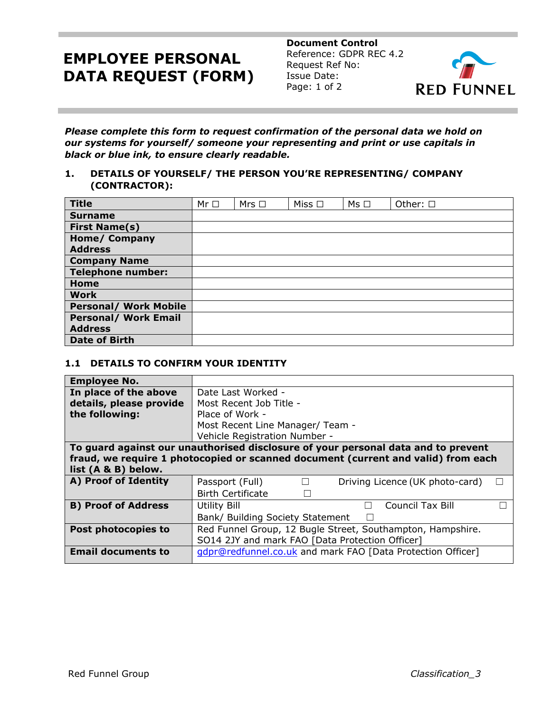# **EMPLOYEE PERSONAL DATA REQUEST (FORM)**

**Document Control** Reference: GDPR REC 4.2 Request Ref No: Issue Date: Page: 1 of 2



*Please complete this form to request confirmation of the personal data we hold on our systems for yourself/ someone your representing and print or use capitals in black or blue ink, to ensure clearly readable.*

## **1. DETAILS OF YOURSELF/ THE PERSON YOU'RE REPRESENTING/ COMPANY (CONTRACTOR):**

| <b>Title</b>                 | $Mr \Box$ | Mrs $\Box$ | Miss $\square$ | $Ms \Box$ | Other: □ |
|------------------------------|-----------|------------|----------------|-----------|----------|
| <b>Surname</b>               |           |            |                |           |          |
| <b>First Name(s)</b>         |           |            |                |           |          |
| <b>Home/ Company</b>         |           |            |                |           |          |
| <b>Address</b>               |           |            |                |           |          |
| <b>Company Name</b>          |           |            |                |           |          |
| <b>Telephone number:</b>     |           |            |                |           |          |
| Home                         |           |            |                |           |          |
| <b>Work</b>                  |           |            |                |           |          |
| <b>Personal/ Work Mobile</b> |           |            |                |           |          |
| <b>Personal/ Work Email</b>  |           |            |                |           |          |
| <b>Address</b>               |           |            |                |           |          |
| <b>Date of Birth</b>         |           |            |                |           |          |

#### **1.1 DETAILS TO CONFIRM YOUR IDENTITY**

| <b>Employee No.</b>                                                               |                                                              |  |  |  |  |  |  |  |
|-----------------------------------------------------------------------------------|--------------------------------------------------------------|--|--|--|--|--|--|--|
| In place of the above                                                             | Date Last Worked -                                           |  |  |  |  |  |  |  |
| details, please provide                                                           | Most Recent Job Title -                                      |  |  |  |  |  |  |  |
| the following:                                                                    | Place of Work -                                              |  |  |  |  |  |  |  |
|                                                                                   | Most Recent Line Manager/ Team -                             |  |  |  |  |  |  |  |
|                                                                                   | Vehicle Registration Number -                                |  |  |  |  |  |  |  |
| To guard against our unauthorised disclosure of your personal data and to prevent |                                                              |  |  |  |  |  |  |  |
| fraud, we require 1 photocopied or scanned document (current and valid) from each |                                                              |  |  |  |  |  |  |  |
| list (A & B) below.                                                               |                                                              |  |  |  |  |  |  |  |
| A) Proof of Identity                                                              | Driving Licence (UK photo-card)<br>Passport (Full)<br>$\Box$ |  |  |  |  |  |  |  |
|                                                                                   | <b>Birth Certificate</b>                                     |  |  |  |  |  |  |  |
| <b>B) Proof of Address</b>                                                        | <b>Council Tax Bill</b><br>Utility Bill<br>$\vert \ \ \vert$ |  |  |  |  |  |  |  |
|                                                                                   | Bank/ Building Society Statement                             |  |  |  |  |  |  |  |
| Post photocopies to                                                               | Red Funnel Group, 12 Bugle Street, Southampton, Hampshire.   |  |  |  |  |  |  |  |
|                                                                                   | SO14 2JY and mark FAO [Data Protection Officer]              |  |  |  |  |  |  |  |
| <b>Email documents to</b>                                                         | gdpr@redfunnel.co.uk and mark FAO [Data Protection Officer]  |  |  |  |  |  |  |  |